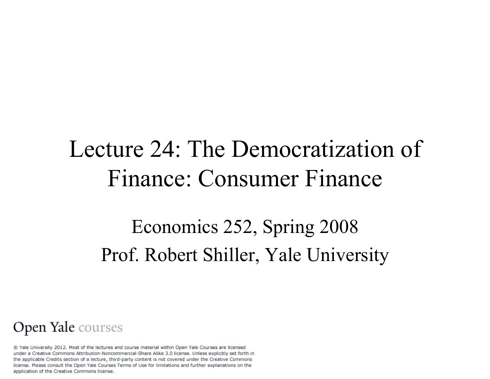### Lecture 24: The Democratization of Finance: Consumer Finance

### Economics 252, Spring 2008 Prof. Robert Shiller, Yale University

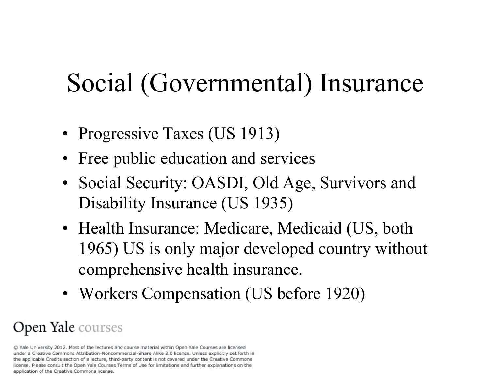# Social (Governmental) Insurance

- Progressive Taxes (US 1913)
- Free public education and services
- Social Security: OASDI, Old Age, Survivors and Disability Insurance (US 1935)
- Health Insurance: Medicare, Medicaid (US, both 1965) US is only major developed country without comprehensive health insurance.
- Workers Compensation (US before 1920)

### Open Yale courses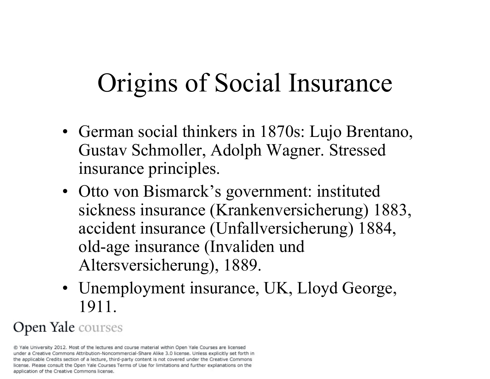# Origins of Social Insurance

- German social thinkers in 1870s: Lujo Brentano, Gustav Schmoller, Adolph Wagner. Stressed insurance principles.
- Otto von Bismarck's government: instituted sickness insurance (Krankenversicherung) 1883, accident insurance (Unfallversicherung) 1884, old-age insurance (Invaliden und Altersversicherung), 1889.
- Unemployment insurance, UK, Lloyd George, 1911.

#### Open Yale courses

<sup>@</sup> Yale University 2012. Most of the lectures and course material within Open Yale Courses are licensed under a Creative Commons Attribution-Noncommercial-Share Alike 3.0 license. Unless explicitly set forth in the applicable Credits section of a lecture, third-party content is not covered under the Creative Commons license. Please consult the Open Yale Courses Terms of Use for limitations and further explanations on the application of the Creative Commons license.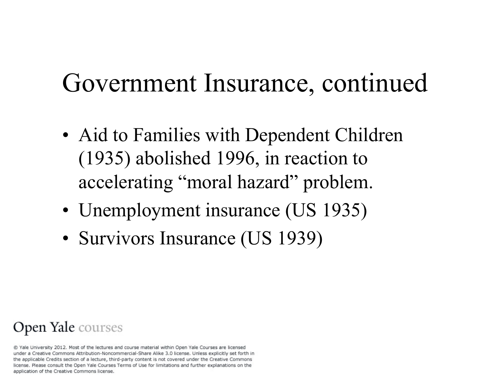## Government Insurance, continued

- Aid to Families with Dependent Children (1935) abolished 1996, in reaction to accelerating "moral hazard" problem.
- Unemployment insurance (US 1935)
- Survivors Insurance (US 1939)

#### Open Yale courses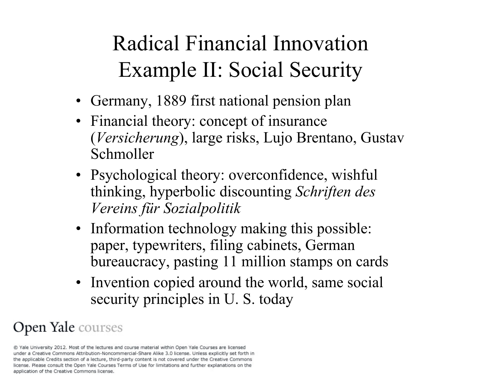### Radical Financial Innovation Example II: Social Security

- Germany, 1889 first national pension plan
- Financial theory: concept of insurance (*Versicherung*), large risks, Lujo Brentano, Gustav Schmoller
- Psychological theory: overconfidence, wishful thinking, hyperbolic discounting *Schriften des Vereins für Sozialpolitik*
- Information technology making this possible: paper, typewriters, filing cabinets, German bureaucracy, pasting 11 million stamps on cards
- Invention copied around the world, same social security principles in U. S. today

#### Open Yale courses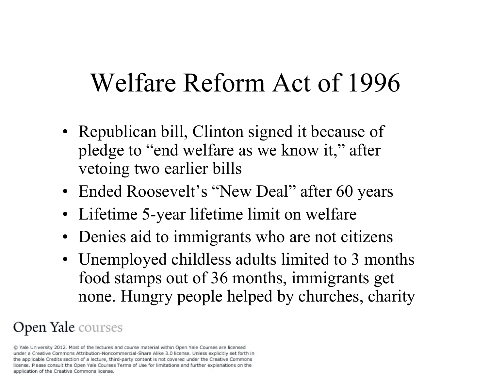### Welfare Reform Act of 1996

- Republican bill, Clinton signed it because of pledge to "end welfare as we know it," after vetoing two earlier bills
- Ended Roosevelt's "New Deal" after 60 years
- Lifetime 5-year lifetime limit on welfare
- Denies aid to immigrants who are not citizens
- Unemployed childless adults limited to 3 months food stamps out of 36 months, immigrants get none. Hungry people helped by churches, charity

### Open Yale courses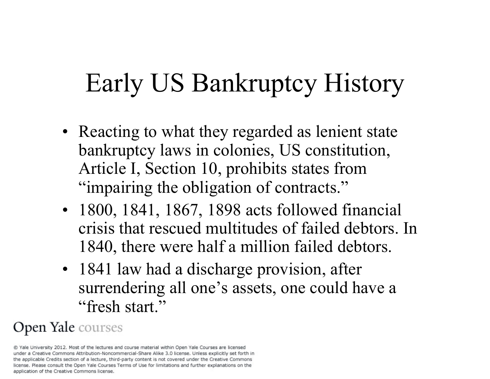# Early US Bankruptcy History

- Reacting to what they regarded as lenient state bankruptcy laws in colonies, US constitution, Article I, Section 10, prohibits states from "impairing the obligation of contracts."
- 1800, 1841, 1867, 1898 acts followed financial crisis that rescued multitudes of failed debtors. In 1840, there were half a million failed debtors.
- 1841 law had a discharge provision, after surrendering all one's assets, one could have a "fresh start."

#### Open Yale courses

<sup>@</sup> Yale University 2012. Most of the lectures and course material within Open Yale Courses are licensed under a Creative Commons Attribution-Noncommercial-Share Alike 3.0 license. Unless explicitly set forth in the applicable Credits section of a lecture, third-party content is not covered under the Creative Commons license. Please consult the Open Yale Courses Terms of Use for limitations and further explanations on the application of the Creative Commons license.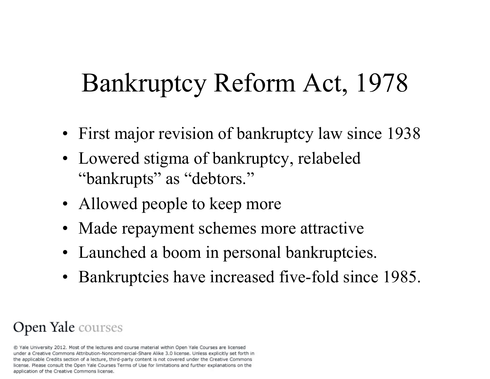# Bankruptcy Reform Act, 1978

- First major revision of bankruptcy law since 1938
- Lowered stigma of bankruptcy, relabeled "bankrupts" as "debtors."
- Allowed people to keep more
- Made repayment schemes more attractive
- Launched a boom in personal bankruptcies.
- Bankruptcies have increased five-fold since 1985.

#### Open Yale courses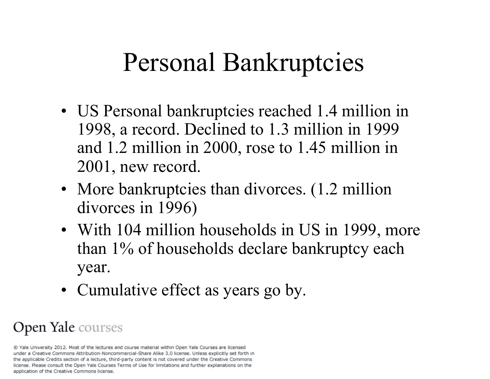### Personal Bankruptcies

- US Personal bankruptcies reached 1.4 million in 1998, a record. Declined to 1.3 million in 1999 and 1.2 million in 2000, rose to 1.45 million in 2001, new record.
- More bankruptcies than divorces. (1.2 million divorces in 1996)
- With 104 million households in US in 1999, more than 1% of households declare bankruptcy each year.
- Cumulative effect as years go by.

#### Open Yale courses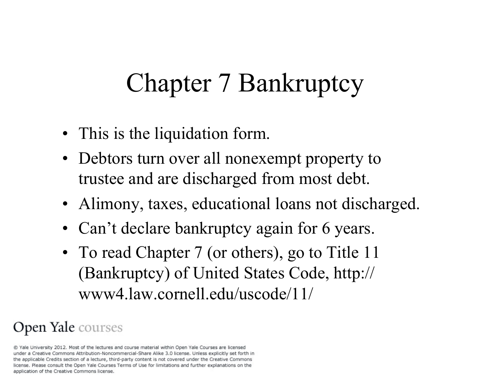# Chapter 7 Bankruptcy

- This is the liquidation form.
- Debtors turn over all nonexempt property to trustee and are discharged from most debt.
- Alimony, taxes, educational loans not discharged.
- Can't declare bankruptcy again for 6 years.
- To read Chapter 7 (or others), go to Title 11 (Bankruptcy) of United States Code, http:// www4.law.cornell.edu/uscode/11/

### Open Yale courses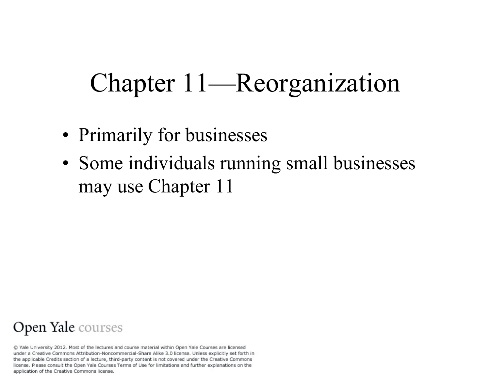# Chapter 11—Reorganization

- Primarily for businesses
- Some individuals running small businesses may use Chapter 11

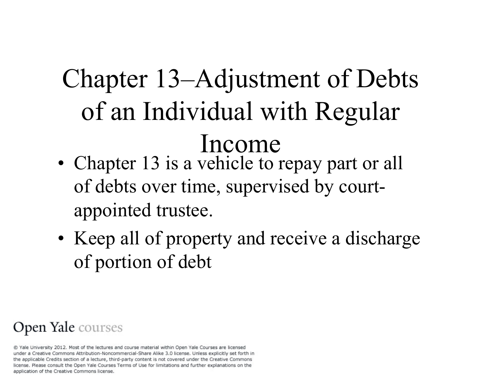# Chapter 13–Adjustment of Debts of an Individual with Regular Income

- Chapter 13 is a vehicle to repay part or all of debts over time, supervised by courtappointed trustee.
- Keep all of property and receive a discharge of portion of debt

#### Open Yale courses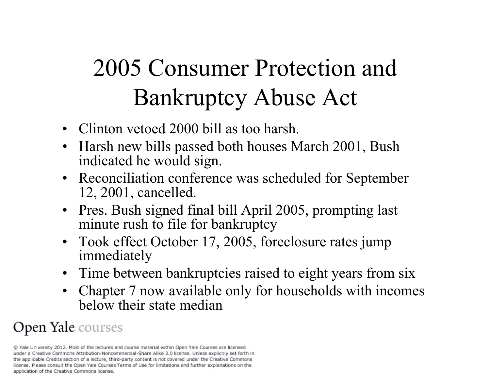# 2005 Consumer Protection and Bankruptcy Abuse Act

- Clinton vetoed 2000 bill as too harsh.
- Harsh new bills passed both houses March 2001, Bush indicated he would sign.
- Reconciliation conference was scheduled for September 12, 2001, cancelled.
- Pres. Bush signed final bill April 2005, prompting last minute rush to file for bankruptcy
- Took effect October 17, 2005, foreclosure rates jump immediately
- Time between bankruptcies raised to eight years from six
- Chapter 7 now available only for households with incomes below their state median

### Open Yale courses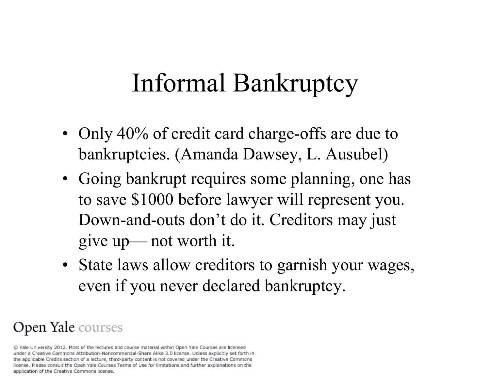## Informal Bankruptcy

- Only 40% of credit card charge-offs are due to bankruptcies. (Amanda Dawsey, L. Ausubel)
- Going bankrupt requires some planning, one has to save \$1000 before lawyer will represent you. Down-and-outs don't do it. Creditors may just give up— not worth it.
- State laws allow creditors to garnish your wages, even if you never declared bankruptcy.

#### Open Yale courses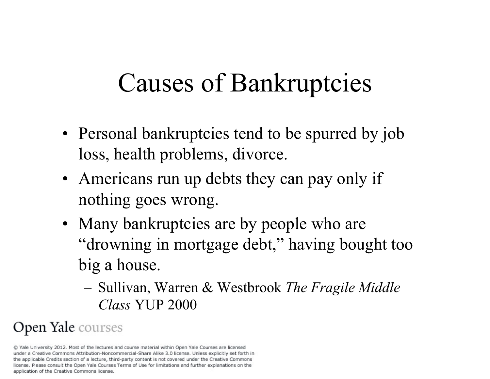### Causes of Bankruptcies

- Personal bankruptcies tend to be spurred by job loss, health problems, divorce.
- Americans run up debts they can pay only if nothing goes wrong.
- Many bankruptcies are by people who are "drowning in mortgage debt," having bought too big a house.
	- Sullivan, Warren & Westbrook *The Fragile Middle Class* YUP 2000

#### Open Yale courses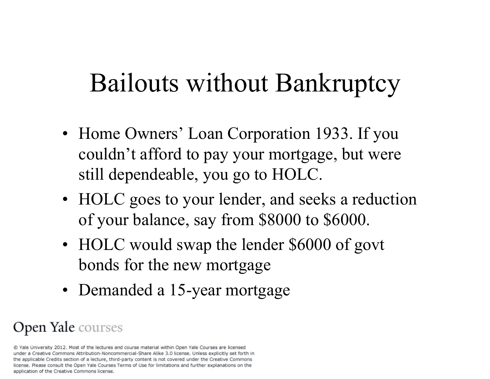## Bailouts without Bankruptcy

- Home Owners' Loan Corporation 1933. If you couldn't afford to pay your mortgage, but were still dependeable, you go to HOLC.
- HOLC goes to your lender, and seeks a reduction of your balance, say from \$8000 to \$6000.
- HOLC would swap the lender \$6000 of govt bonds for the new mortgage
- Demanded a 15-year mortgage

#### Open Yale courses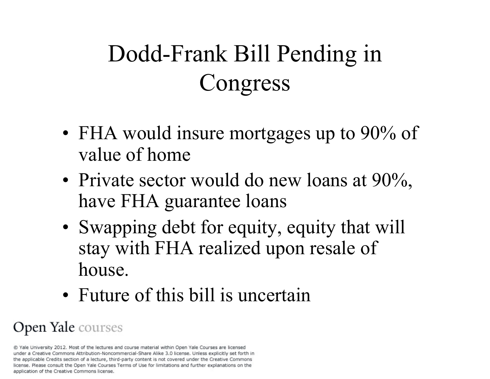# Dodd-Frank Bill Pending in Congress

- FHA would insure mortgages up to 90% of value of home
- Private sector would do new loans at 90%, have FHA guarantee loans
- Swapping debt for equity, equity that will stay with FHA realized upon resale of house.
- Future of this bill is uncertain

#### Open Yale courses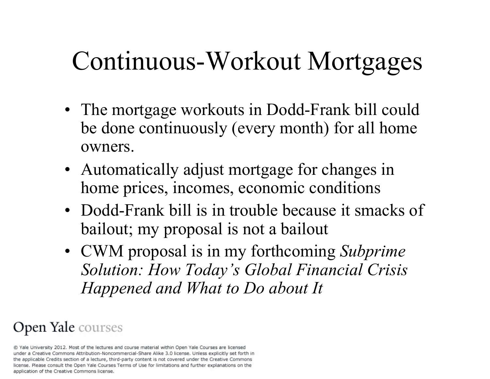## Continuous-Workout Mortgages

- The mortgage workouts in Dodd-Frank bill could be done continuously (every month) for all home owners.
- Automatically adjust mortgage for changes in home prices, incomes, economic conditions
- Dodd-Frank bill is in trouble because it smacks of bailout; my proposal is not a bailout
- CWM proposal is in my forthcoming *Subprime Solution: How Today's Global Financial Crisis Happened and What to Do about It*

#### Open Yale courses